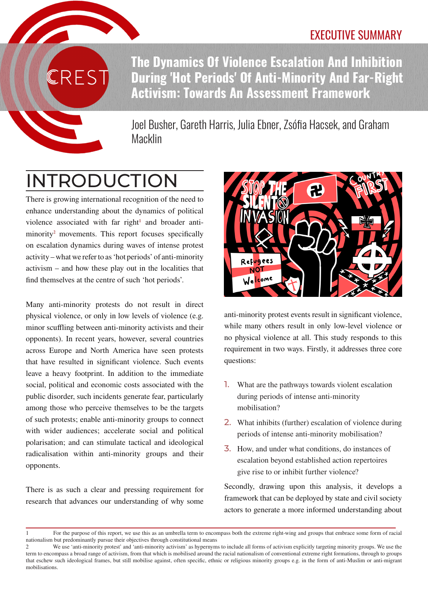### **The Dynamics Of Violence Escalation And Inhibition During 'Hot Periods' Of Anti-Minority And Far-Right Activism: Towards An Assessment Framework**

Joel Busher, Gareth Harris, Julia Ebner, Zsófia Hacsek, and Graham Macklin

# INTRODUCTION

RES'

There is growing international recognition of the need to enhance understanding about the dynamics of political violence associated with far right $1$  and broader antiminority<sup>2</sup> movements. This report focuses specifically on escalation dynamics during waves of intense protest activity – what we refer to as 'hot periods' of anti-minority activism – and how these play out in the localities that find themselves at the centre of such 'hot periods'.

Many anti-minority protests do not result in direct physical violence, or only in low levels of violence (e.g. minor scuffling between anti-minority activists and their opponents). In recent years, however, several countries across Europe and North America have seen protests that have resulted in significant violence. Such events leave a heavy footprint. In addition to the immediate social, political and economic costs associated with the public disorder, such incidents generate fear, particularly among those who perceive themselves to be the targets of such protests; enable anti-minority groups to connect with wider audiences; accelerate social and political polarisation; and can stimulate tactical and ideological radicalisation within anti-minority groups and their opponents.

There is as such a clear and pressing requirement for research that advances our understanding of why some



anti-minority protest events result in significant violence, while many others result in only low-level violence or no physical violence at all. This study responds to this requirement in two ways. Firstly, it addresses three core questions:

- 1. What are the pathways towards violent escalation during periods of intense anti-minority mobilisation?
- 2. What inhibits (further) escalation of violence during periods of intense anti-minority mobilisation?
- 3. How, and under what conditions, do instances of escalation beyond established action repertoires give rise to or inhibit further violence?

Secondly, drawing upon this analysis, it develops a framework that can be deployed by state and civil society actors to generate a more informed understanding about

<sup>1</sup> For the purpose of this report, we use this as an umbrella term to encompass both the extreme right-wing and groups that embrace some form of racial nationalism but predominantly pursue their objectives through constitutional means

<sup>2</sup> We use 'anti-minority protest' and 'anti-minority activism' as hypernyms to include all forms of activism explicitly targeting minority groups. We use the term to encompass a broad range of activism, from that which is mobilised around the racial nationalism of conventional extreme right formations, through to groups that eschew such ideological frames, but still mobilise against, often specific, ethnic or religious minority groups e.g. in the form of anti-Muslim or anti-migrant mobilisations.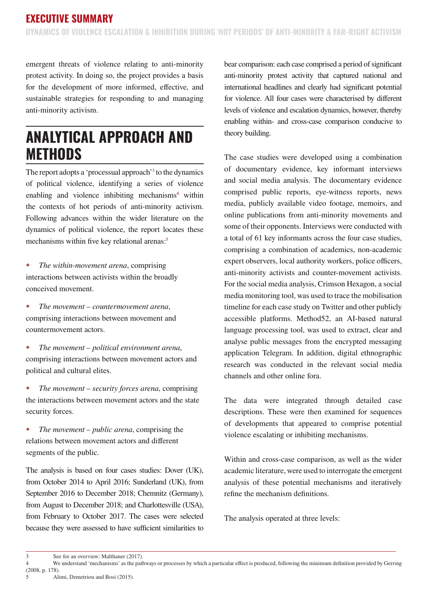emergent threats of violence relating to anti-minority protest activity. In doing so, the project provides a basis for the development of more informed, effective, and sustainable strategies for responding to and managing anti-minority activism.

### **ANALYTICAL APPROACH AND METHODS**

The report adopts a 'processual approach'<sup>3</sup> to the dynamics of political violence, identifying a series of violence enabling and violence inhibiting mechanisms<sup>4</sup> within the contexts of hot periods of anti-minority activism. Following advances within the wider literature on the dynamics of political violence, the report locates these mechanisms within five key relational arenas:<sup>5</sup>

• *The within-movement arena*, comprising interactions between activists within the broadly conceived movement.

• *The movement – countermovement arena*, comprising interactions between movement and countermovement actors.

• *The movement – political environment arena*, comprising interactions between movement actors and political and cultural elites.

• *The movement – security forces arena*, comprising the interactions between movement actors and the state security forces.

• *The movement – public arena*, comprising the relations between movement actors and different segments of the public.

The analysis is based on four cases studies: Dover (UK), from October 2014 to April 2016; Sunderland (UK), from September 2016 to December 2018; Chemnitz (Germany), from August to December 2018; and Charlottesville (USA), from February to October 2017. The cases were selected because they were assessed to have sufficient similarities to bear comparison: each case comprised a period of significant anti-minority protest activity that captured national and international headlines and clearly had significant potential for violence. All four cases were characterised by different levels of violence and escalation dynamics, however, thereby enabling within- and cross-case comparison conducive to theory building.

The case studies were developed using a combination of documentary evidence, key informant interviews and social media analysis. The documentary evidence comprised public reports, eye-witness reports, news media, publicly available video footage, memoirs, and online publications from anti-minority movements and some of their opponents. Interviews were conducted with a total of 61 key informants across the four case studies, comprising a combination of academics, non-academic expert observers, local authority workers, police officers, anti-minority activists and counter-movement activists. For the social media analysis, Crimson Hexagon, a social media monitoring tool, was used to trace the mobilisation timeline for each case study on Twitter and other publicly accessible platforms. Method52, an AI-based natural language processing tool, was used to extract, clear and analyse public messages from the encrypted messaging application Telegram. In addition, digital ethnographic research was conducted in the relevant social media channels and other online fora.

The data were integrated through detailed case descriptions. These were then examined for sequences of developments that appeared to comprise potential violence escalating or inhibiting mechanisms.

Within and cross-case comparison, as well as the wider academic literature, were used to interrogate the emergent analysis of these potential mechanisms and iteratively refine the mechanism definitions.

The analysis operated at three levels:

<sup>3</sup> See for an overview: Malthaner (2017).<br>4 We understand 'mechanisms' as the pat

We understand 'mechanisms' as the pathways or processes by which a particular effect is produced, following the minimum definition provided by Gerring (2008, p. 178).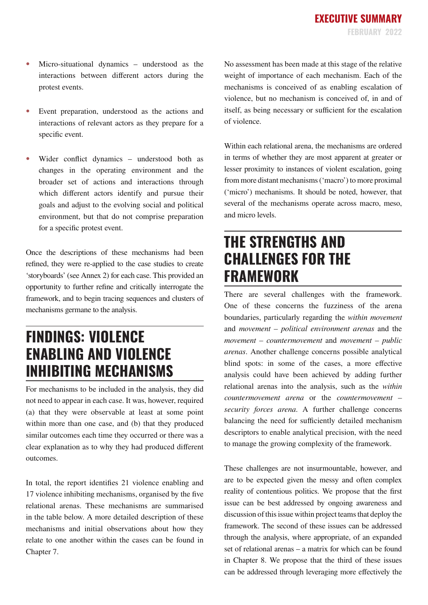- Micro-situational dynamics understood as the interactions between different actors during the protest events.
- Event preparation, understood as the actions and interactions of relevant actors as they prepare for a specific event.
- Wider conflict dynamics understood both as changes in the operating environment and the broader set of actions and interactions through which different actors identify and pursue their goals and adjust to the evolving social and political environment, but that do not comprise preparation for a specific protest event.

Once the descriptions of these mechanisms had been refined, they were re-applied to the case studies to create 'storyboards' (see Annex 2) for each case. This provided an opportunity to further refine and critically interrogate the framework, and to begin tracing sequences and clusters of mechanisms germane to the analysis.

### **FINDINGS: VIOLENCE ENABLING AND VIOLENCE INHIBITING MECHANISMS**

For mechanisms to be included in the analysis, they did not need to appear in each case. It was, however, required (a) that they were observable at least at some point within more than one case, and (b) that they produced similar outcomes each time they occurred or there was a clear explanation as to why they had produced different outcomes.

In total, the report identifies 21 violence enabling and 17 violence inhibiting mechanisms, organised by the five relational arenas. These mechanisms are summarised in the table below. A more detailed description of these mechanisms and initial observations about how they relate to one another within the cases can be found in Chapter 7.

No assessment has been made at this stage of the relative weight of importance of each mechanism. Each of the mechanisms is conceived of as enabling escalation of violence, but no mechanism is conceived of, in and of itself, as being necessary or sufficient for the escalation of violence.

Within each relational arena, the mechanisms are ordered in terms of whether they are most apparent at greater or lesser proximity to instances of violent escalation, going from more distant mechanisms ('macro') to more proximal ('micro') mechanisms. It should be noted, however, that several of the mechanisms operate across macro, meso, and micro levels.

### **THE STRENGTHS AND CHALLENGES FOR THE FRAMEWORK**

There are several challenges with the framework. One of these concerns the fuzziness of the arena boundaries, particularly regarding the *within movement* and *movement – political environment arenas* and the *movement – countermovement* and *movement – public arenas*. Another challenge concerns possible analytical blind spots: in some of the cases, a more effective analysis could have been achieved by adding further relational arenas into the analysis, such as the *within countermovement arena* or the *countermovement – security forces arena*. A further challenge concerns balancing the need for sufficiently detailed mechanism descriptors to enable analytical precision, with the need to manage the growing complexity of the framework.

These challenges are not insurmountable, however, and are to be expected given the messy and often complex reality of contentious politics. We propose that the first issue can be best addressed by ongoing awareness and discussion of this issue within project teams that deploy the framework. The second of these issues can be addressed through the analysis, where appropriate, of an expanded set of relational arenas – a matrix for which can be found in Chapter 8. We propose that the third of these issues can be addressed through leveraging more effectively the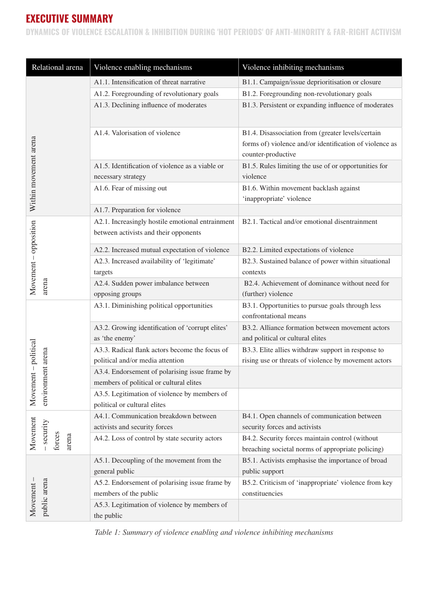#### **EXECUTIVE SUMMARY**

**DYNAMICS OF VIOLENCE ESCALATION & INHIBITION DURING 'HOT PERIODS' OF ANTI-MINORITY & FAR-RIGHT ACTIVISM**

| Relational arena                          | Violence enabling mechanisms                                                              | Violence inhibiting mechanisms                                                                                                     |
|-------------------------------------------|-------------------------------------------------------------------------------------------|------------------------------------------------------------------------------------------------------------------------------------|
| Within movement arena                     | A1.1. Intensification of threat narrative                                                 | B1.1. Campaign/issue deprioritisation or closure                                                                                   |
|                                           | A1.2. Foregrounding of revolutionary goals                                                | B1.2. Foregrounding non-revolutionary goals                                                                                        |
|                                           | A1.3. Declining influence of moderates                                                    | B1.3. Persistent or expanding influence of moderates                                                                               |
|                                           | A1.4. Valorisation of violence                                                            | B1.4. Disassociation from (greater levels/certain<br>forms of) violence and/or identification of violence as<br>counter-productive |
|                                           | A1.5. Identification of violence as a viable or<br>necessary strategy                     | B1.5. Rules limiting the use of or opportunities for<br>violence                                                                   |
|                                           | A1.6. Fear of missing out                                                                 | B1.6. Within movement backlash against<br>'inappropriate' violence                                                                 |
|                                           | A1.7. Preparation for violence                                                            |                                                                                                                                    |
| Movement - opposition<br>arena            | A2.1. Increasingly hostile emotional entrainment<br>between activists and their opponents | B2.1. Tactical and/or emotional disentrainment                                                                                     |
|                                           | A2.2. Increased mutual expectation of violence                                            | B2.2. Limited expectations of violence                                                                                             |
|                                           | A2.3. Increased availability of 'legitimate'<br>targets                                   | B2.3. Sustained balance of power within situational<br>contexts                                                                    |
|                                           | A2.4. Sudden power imbalance between                                                      | B2.4. Achievement of dominance without need for                                                                                    |
|                                           | opposing groups                                                                           | (further) violence                                                                                                                 |
| Movement - political<br>environment arena | A3.1. Diminishing political opportunities                                                 | B3.1. Opportunities to pursue goals through less<br>confrontational means                                                          |
|                                           | A3.2. Growing identification of 'corrupt elites'<br>as 'the enemy'                        | B3.2. Alliance formation between movement actors<br>and political or cultural elites                                               |
|                                           | A3.3. Radical flank actors become the focus of<br>political and/or media attention        | B3.3. Elite allies withdraw support in response to<br>rising use or threats of violence by movement actors                         |
|                                           | A3.4. Endorsement of polarising issue frame by<br>members of political or cultural elites |                                                                                                                                    |
|                                           | A3.5. Legitimation of violence by members of<br>political or cultural elites              |                                                                                                                                    |
| Movement<br>security<br>forces<br>arena   | A4.1. Communication breakdown between<br>activists and security forces                    | B4.1. Open channels of communication between<br>security forces and activists                                                      |
|                                           | A4.2. Loss of control by state security actors                                            | B4.2. Security forces maintain control (without<br>breaching societal norms of appropriate policing)                               |
| public arena<br>Movement                  | A5.1. Decoupling of the movement from the<br>general public                               | B5.1. Activists emphasise the importance of broad<br>public support                                                                |
|                                           | A5.2. Endorsement of polarising issue frame by<br>members of the public                   | B5.2. Criticism of 'inappropriate' violence from key<br>constituencies                                                             |
|                                           | A5.3. Legitimation of violence by members of<br>the public                                |                                                                                                                                    |

*Table 1: Summary of violence enabling and violence inhibiting mechanisms*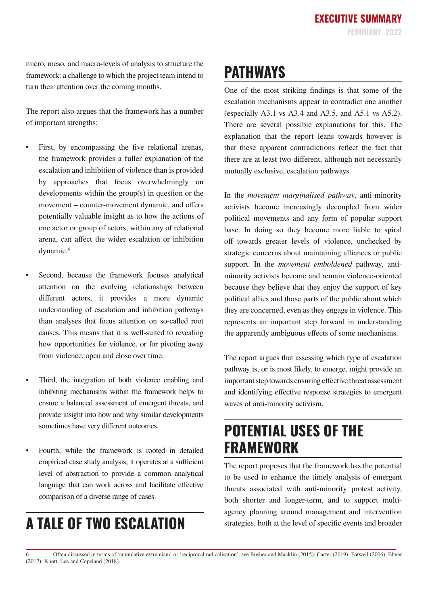micro, meso, and macro-levels of analysis to structure the framework: a challenge to which the project team intend to turn their attention over the coming months.

The report also argues that the framework has a number of important strengths:

- First, by encompassing the five relational arenas, the framework provides a fuller explanation of the escalation and inhibition of violence than is provided by approaches that focus overwhelmingly on developments within the group(s) in question or the movement – counter-movement dynamic, and offers potentially valuable insight as to how the actions of one actor or group of actors, within any of relational arena, can affect the wider escalation or inhibition dynamic.<sup>6</sup>
- Second, because the framework focuses analytical attention on the evolving relationships between different actors, it provides a more dynamic understanding of escalation and inhibition pathways than analyses that focus attention on so-called root causes. This means that it is well-suited to revealing how opportunities for violence, or for pivoting away from violence, open and close over time.
- Third, the integration of both violence enabling and inhibiting mechanisms within the framework helps to ensure a balanced assessment of emergent threats, and provide insight into how and why similar developments sometimes have very different outcomes.
- Fourth, while the framework is rooted in detailed empirical case study analysis, it operates at a sufficient level of abstraction to provide a common analytical language that can work across and facilitate effective comparison of a diverse range of cases.

## **A TALE OF TWO ESCALATION**

## **PATHWAYS**

One of the most striking findings is that some of the escalation mechanisms appear to contradict one another (especially A3.1 vs A3.4 and A3.5, and A5.1 vs A5.2). There are several possible explanations for this. The explanation that the report leans towards however is that these apparent contradictions reflect the fact that there are at least two different, although not necessarily mutually exclusive, escalation pathways.

In the *movement marginalised pathway*, anti-minority activists become increasingly decoupled from wider political movements and any form of popular support base. In doing so they become more liable to spiral off towards greater levels of violence, unchecked by strategic concerns about maintaining alliances or public support. In the *movement emboldened* pathway, antiminority activists become and remain violence-oriented because they believe that they enjoy the support of key political allies and those parts of the public about which they are concerned, even as they engage in violence. This represents an important step forward in understanding the apparently ambiguous effects of some mechanisms.

The report argues that assessing which type of escalation pathway is, or is most likely, to emerge, might provide an important step towards ensuring effective threat assessment and identifying effective response strategies to emergent waves of anti-minority activism.

### **POTENTIAL USES OF THE FRAMEWORK**

The report proposes that the framework has the potential to be used to enhance the timely analysis of emergent threats associated with anti-minority protest activity, both shorter and longer-term, and to support multiagency planning around management and intervention strategies, both at the level of specific events and broader

<sup>6</sup> Often discussed in terms of 'cumulative extremism' or 'reciprocal radicalisation': see Busher and Macklin (2015); Carter (2019); Eatwell (2006); Ebner (2017); Knott, Lee and Copeland (2018).